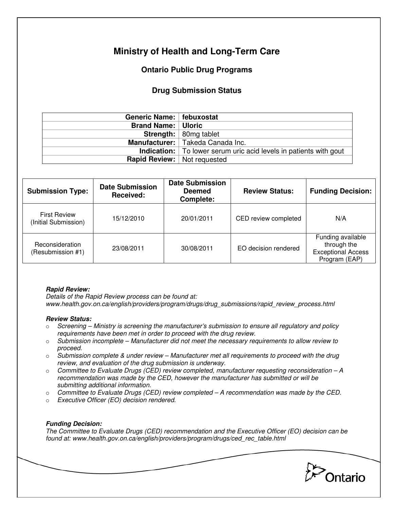# **Ministry of Health and Long-Term Care**

## **Ontario Public Drug Programs**

### **Drug Submission Status**

| Generic Name:   febuxostat           |                                                                            |  |
|--------------------------------------|----------------------------------------------------------------------------|--|
| <b>Brand Name:   Uloric</b>          |                                                                            |  |
|                                      | <b>Strength:</b> $\vert$ 80mg tablet                                       |  |
|                                      | Manufacturer:   Takeda Canada Inc.                                         |  |
|                                      | <b>Indication:</b>   To lower serum uric acid levels in patients with gout |  |
| <b>Rapid Review:</b>   Not requested |                                                                            |  |

| <b>Submission Type:</b>                     | <b>Date Submission</b><br>Received: | <b>Date Submission</b><br><b>Deemed</b><br><b>Complete:</b> | <b>Review Status:</b> | <b>Funding Decision:</b>                                                       |
|---------------------------------------------|-------------------------------------|-------------------------------------------------------------|-----------------------|--------------------------------------------------------------------------------|
| <b>First Review</b><br>(Initial Submission) | 15/12/2010                          | 20/01/2011                                                  | CED review completed  | N/A                                                                            |
| Reconsideration<br>(Resubmission #1)        | 23/08/2011                          | 30/08/2011                                                  | EO decision rendered  | Funding available<br>through the<br><b>Exceptional Access</b><br>Program (EAP) |

### **Rapid Review:**

Details of the Rapid Review process can be found at: www.health.gov.on.ca/english/providers/program/drugs/drug\_submissions/rapid\_review\_process.html

#### **Review Status:**

- $\circ$  Screening Ministry is screening the manufacturer's submission to ensure all regulatory and policy requirements have been met in order to proceed with the drug review.
- $\circ$  Submission incomplete Manufacturer did not meet the necessary requirements to allow review to proceed.
- $\circ$  Submission complete & under review Manufacturer met all requirements to proceed with the drug review, and evaluation of the drug submission is underway.
- $\circ$  Committee to Evaluate Drugs (CED) review completed, manufacturer requesting reconsideration  $-A$ recommendation was made by the CED, however the manufacturer has submitted or will be submitting additional information.
- $\circ$  Committee to Evaluate Drugs (CED) review completed  $-A$  recommendation was made by the CED.
- o Executive Officer (EO) decision rendered.

### **Funding Decision:**

The Committee to Evaluate Drugs (CED) recommendation and the Executive Officer (EO) decision can be found at: www.health.gov.on.ca/english/providers/program/drugs/ced\_rec\_table.html